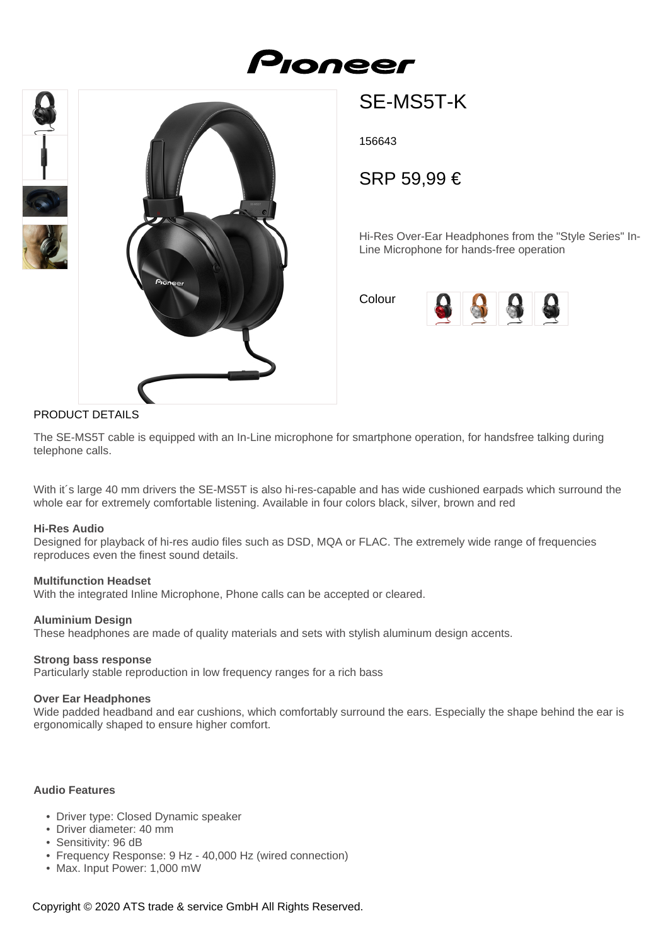





# SE-MS5T-K

156643

SRP 59,99 €

Hi-Res Over-Ear Headphones from the "Style Series" In-Line Microphone for hands-free operation

Colour



## PRODUCT DETAILS

The SE-MS5T cable is equipped with an In-Line microphone for smartphone operation, for handsfree talking during telephone calls.

With it's large 40 mm drivers the SE-MS5T is also hi-res-capable and has wide cushioned earpads which surround the whole ear for extremely comfortable listening. Available in four colors black, silver, brown and red

#### **Hi-Res Audio**

Designed for playback of hi-res audio files such as DSD, MQA or FLAC. The extremely wide range of frequencies reproduces even the finest sound details.

#### **Multifunction Headset**

With the integrated Inline Microphone, Phone calls can be accepted or cleared.

### **Aluminium Design**

These headphones are made of quality materials and sets with stylish aluminum design accents.

#### **Strong bass response**

Particularly stable reproduction in low frequency ranges for a rich bass

#### **Over Ear Headphones**

Wide padded headband and ear cushions, which comfortably surround the ears. Especially the shape behind the ear is ergonomically shaped to ensure higher comfort.

#### **Audio Features**

- Driver type: Closed Dynamic speaker
- Driver diameter: 40 mm
- Sensitivity: 96 dB
- Frequency Response: 9 Hz 40,000 Hz (wired connection)
- Max. Input Power: 1,000 mW

Copyright © 2020 ATS trade & service GmbH All Rights Reserved.